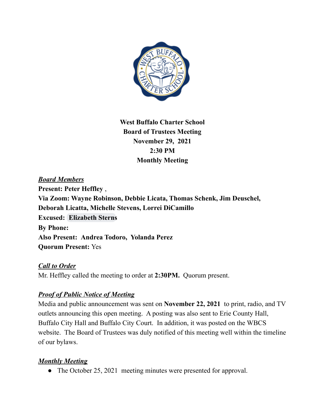

**West Buffalo Charter School Board of Trustees Meeting November 29, 2021 2:30 PM Monthly Meeting**

# *Board Members* **Present: Peter Heffley** , **Via Zoom: Wayne Robinson, Debbie Licata, Thomas Schenk, Jim Deuschel, Deborah Licatta, Michelle Stevens, Lorrei DiCamillo Excused: [Elizabeth Sterns](mailto:esterns@westbuffalocharter.org) By Phone: Also Present: Andrea Todoro, Yolanda Perez Quorum Present:** Yes

### *Call to Order*

Mr. Heffley called the meeting to order at **2:30PM.** Quorum present.

## *Proof of Public Notice of Meeting*

Media and public announcement was sent on **November 22, 2021** to print, radio, and TV outlets announcing this open meeting. A posting was also sent to Erie County Hall, Buffalo City Hall and Buffalo City Court. In addition, it was posted on the WBCS website. The Board of Trustees was duly notified of this meeting well within the timeline of our bylaws.

## *Monthly Meeting*

• The October 25, 2021 meeting minutes were presented for approval.